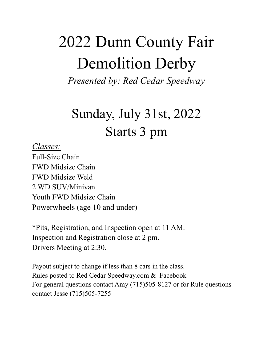# 2022 Dunn County Fair Demolition Derby

*Presented by: Red Cedar Speedway*

## Sunday, July 31st, 2022 Starts 3 pm

#### *Classes:*

Full-Size Chain FWD Midsize Chain FWD Midsize Weld 2 WD SUV/Minivan Youth FWD Midsize Chain Powerwheels (age 10 and under)

\*Pits, Registration, and Inspection open at 11 AM. Inspection and Registration close at 2 pm. Drivers Meeting at 2:30.

Payout subject to change if less than 8 cars in the class. Rules posted to Red Cedar Speedway.com & Facebook For general questions contact Amy (715)505-8127 or for Rule questions contact Jesse (715)505-7255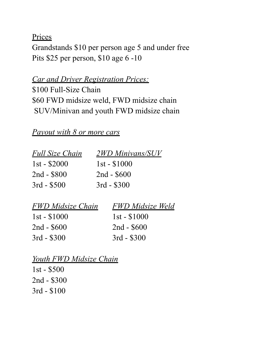**Prices** 

Grandstands \$10 per person age 5 and under free Pits \$25 per person, \$10 age 6 -10

*Car and Driver Registration Prices:*

\$100 Full-Size Chain \$60 FWD midsize weld, FWD midsize chain SUV/Minivan and youth FWD midsize chain

#### *Payout with 8 or more cars*

| <b>2WD Minivans/SUV</b> |
|-------------------------|
| $1st - $1000$           |
| $2nd - $600$            |
| $3rd - $300$            |
|                         |

| <b>FWD Midsize Chain</b> | <b>FWD</b> Midsize Weld |
|--------------------------|-------------------------|
| $1st - $1000$            | $1st - $1000$           |
| $2nd - $600$             | $2nd - $600$            |
| $3rd - $300$             | $3rd - $300$            |

### *Youth FWD Midsize Chain*

1st - \$500 2nd - \$300 3rd - \$100